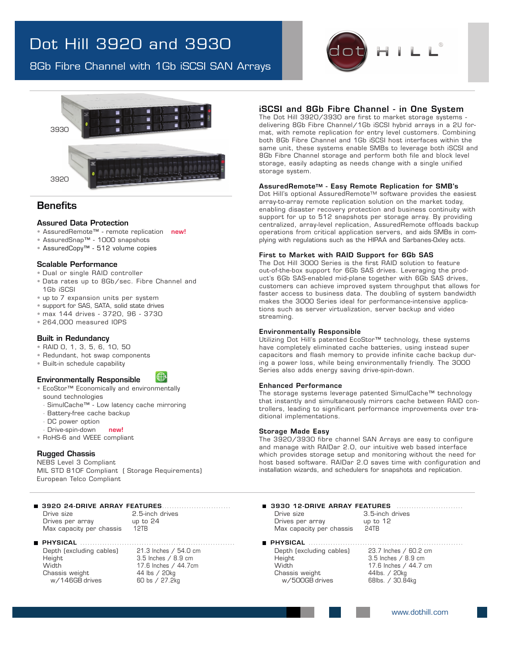## Dot Hill 3920 and 3930

8Gb Fibre Channel with 1Gb iSCSI SAN Arrays





### **Benefits**

### Assured Data Protection

- AssuredRemote™ remote replication new!
- AssuredSnap™ 1000 snapshots
- AssuredCopy™ 512 volume copies

#### Scalable Performance

- Dual or single RAID controller
- Data rates up to 8Gb/sec. Fibre Channel and 1Gb iSCSI
- up to 7 expansion units per system
- support for SAS, SATA, solid state drives
- max 144 drives 3720, 96 3730
- 264,000 measured IOPS

#### Built in Redundancy

- RAID 0, 1, 3, 5, 6, 10, 50
- Redundant, hot swap components
- Built-in schedule capability

#### Environmentally Responsible

- EcoStor™ Economically and environmentally sound technologies
- SimulCache™ Low latency cache mirroring
- Battery-free cache backup
- DC power option
- Drive-spin-down new!
- RoHS-6 and WEEE compliant

#### Rugged Chassis

NEBS Level 3 Compliant MIL STD 810F Compliant ( Storage Requirements) European Telco Compliant

## 3920 24-DRIVE ARRAY FEATURES• • • • • • • • • • • • • • • • • • • • • • • • • • • • • 3930 12-DRIVE ARRAY FEATURES • • • • • • • • • • • • • • • • • • • • • • • • • • •

Drives per array Max capacity per chassis 12TB

# 2.5-inch drives<br>up to 24

#### PHYSICAL • • • • • • • • • • • • • • • • • • • • • • • • • • • • • • • • • • • • • • • • • • • • • • • • • • • • • • • • • • • • • • • PHYSICAL • • • • • • • • • • • • • • • • • • • • • • • • • • • • • • • • • • • • • • • • • • • • • • • • • • • • • • • • • • • • • • •

Chassis weight 44 lbs / 20kg<br>w/146GB drives 60 bs / 27.2kg  $w/146$ GB drives

Depth (excluding cables) 21.3 Inches / 54.0 cm Height 3.5 Inches / 8.9 cm<br>Width 17 6 Inches / 44 7cm 17.6 Inches / 44.7cm<br>44 lbs / 20kg

#### • • • • iSCSI and 8Gb Fibre Channel - in One System

• • • • The Dot Hill 3920/3930 are first to market storage systems - • • • delivering 8Gb Fibre Channel/1Gb iSCSI hybrid arrays in a 2U format, with remote replication for entry level customers. Combining both 8Gb Fibre Channel and 1Gb iSCSI host interfaces within the same unit, these systems enable SMBs to leverage both iSCSI and 8Gb Fibre Channel storage and perform both file and block level storage, easily adapting as needs change with a single unified storage system.

#### AssuredRemoteTM - Easy Remote Replication for SMB's

Dot Hill's optional AssuredRemote™ software provides the easiest array-to-array remote replication solution on the market today, enabling disaster recovery protection and business continuity with support for up to 512 snapshots per storage array. By providing centralized, array-level replication, AssuredRemote offloads backup operations from critical application servers, and aids SMBs in complying with regulations such as the HIPAA and Sarbanes-Oxley acts.

#### First to Market with RAID Support for 6Gb SAS

The Dot Hill 3000 Series is the first RAID solution to feature out-of-the-box support for 6Gb SAS drives. Leveraging the product's 6Gb SAS-enabled mid-plane together with 6Gb SAS drives, customers can achieve improved system throughput that allows for faster access to business data. The doubling of system bandwidth makes the 3000 Series ideal for performance-intensive applications such as server virtualization, server backup and video streaming.

#### Environmentally Responsible

Utilizing Dot Hill's patented EcoStor™ technology, these systems have completely eliminated cache batteries, using instead super capacitors and flash memory to provide infinite cache backup during a power loss, while being environmentally friendly. The 3000 Series also adds energy saving drive-spin-down.

#### Enhanced Performance

The storage systems leverage patented SimulCache™ technology that instantly and simultaneously mirrors cache between RAID controllers, leading to significant performance improvements over traditional implementations.

#### Storage Made Easy

The 3920/3930 fibre channel SAN Arrays are easy to configure and manage with RAIDar 2.0, our intuitive web based interface which provides storage setup and monitoring without the need for host based software. RAIDar 2.0 saves time with configuration and installation wizards, and schedulers for snapshots and replication.

Drive size 3.5-inch drives<br>
Drives per array 19 (up to 12) Drives per array Max capacity per chassis 24TB

Depth (excluding cables) 23.7 Inches / 60.2 cm Height 3.5 Inches / 8.9 cm<br>Width 3.5 Inches / 8.9 cm Chassis weight<br>w/500GB drives

17.6 Inches /  $44.7$  cm<br> $44$ lbs. /  $20$ kg 68lbs. / 30.84kg